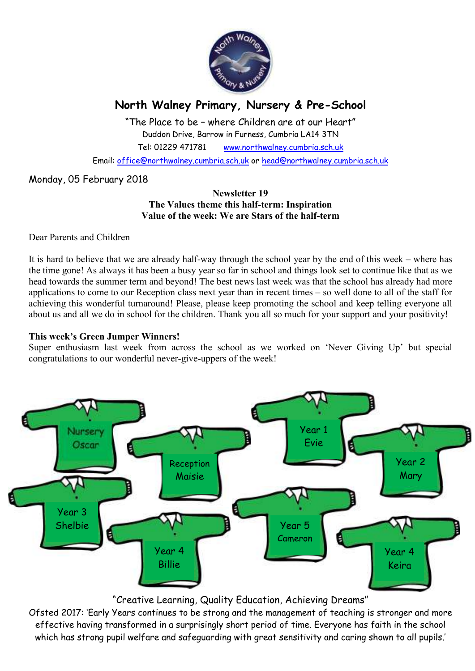

# **North Walney Primary, Nursery & Pre-School**

"The Place to be – where Children are at our Heart" Duddon Drive, Barrow in Furness, Cumbria LA14 3TN Tel: 01229 471781 www.northwalney.cumbria.sch.uk

Email: office@northwalney.cumbria.sch.uk or head@northwalney.cumbria.sch.uk

# Monday, 05 February 2018

#### **Newsletter 19 The Values theme this half-term: Inspiration Value of the week: We are Stars of the half-term**

Dear Parents and Children

It is hard to believe that we are already half-way through the school year by the end of this week – where has the time gone! As always it has been a busy year so far in school and things look set to continue like that as we head towards the summer term and beyond! The best news last week was that the school has already had more applications to come to our Reception class next year than in recent times – so well done to all of the staff for achieving this wonderful turnaround! Please, please keep promoting the school and keep telling everyone all about us and all we do in school for the children. Thank you all so much for your support and your positivity!

#### **This week's Green Jumper Winners!**

Super enthusiasm last week from across the school as we worked on 'Never Giving Up' but special congratulations to our wonderful never-give-uppers of the week!



# "Creative Learning, Quality Education, Achieving Dreams"

Ofsted 2017: 'Early Years continues to be strong and the management of teaching is stronger and more effective having transformed in a surprisingly short period of time. Everyone has faith in the school which has strong pupil welfare and safeguarding with great sensitivity and caring shown to all pupils.'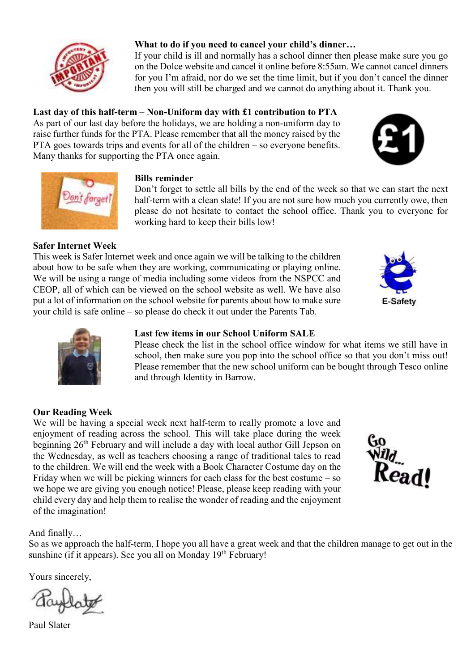

# **What to do if you need to cancel your child's dinner…**

If your child is ill and normally has a school dinner then please make sure you go on the Dolce website and cancel it online before 8:55am. We cannot cancel dinners for you I'm afraid, nor do we set the time limit, but if you don't cancel the dinner then you will still be charged and we cannot do anything about it. Thank you.

# **Last day of this half-term – Non-Uniform day with £1 contribution to PTA**

As part of our last day before the holidays, we are holding a non-uniform day to raise further funds for the PTA. Please remember that all the money raised by the PTA goes towards trips and events for all of the children – so everyone benefits. Many thanks for supporting the PTA once again.





# **Bills reminder**

Don't forget to settle all bills by the end of the week so that we can start the next half-term with a clean slate! If you are not sure how much you currently owe, then please do not hesitate to contact the school office. Thank you to everyone for working hard to keep their bills low!

# **Safer Internet Week**

This week is Safer Internet week and once again we will be talking to the children about how to be safe when they are working, communicating or playing online. We will be using a range of media including some videos from the NSPCC and CEOP, all of which can be viewed on the school website as well. We have also put a lot of information on the school website for parents about how to make sure your child is safe online – so please do check it out under the Parents Tab.





# **Last few items in our School Uniform SALE**

Please check the list in the school office window for what items we still have in school, then make sure you pop into the school office so that you don't miss out! Please remember that the new school uniform can be bought through Tesco online and through Identity in Barrow.

### **Our Reading Week**

We will be having a special week next half-term to really promote a love and enjoyment of reading across the school. This will take place during the week beginning 26<sup>th</sup> February and will include a day with local author Gill Jepson on the Wednesday, as well as teachers choosing a range of traditional tales to read to the children. We will end the week with a Book Character Costume day on the Friday when we will be picking winners for each class for the best costume – so we hope we are giving you enough notice! Please, please keep reading with your child every day and help them to realise the wonder of reading and the enjoyment of the imagination!



## And finally…

So as we approach the half-term, I hope you all have a great week and that the children manage to get out in the sunshine (if it appears). See you all on Monday  $19<sup>th</sup>$  February!

Yours sincerely,

Paul Slater